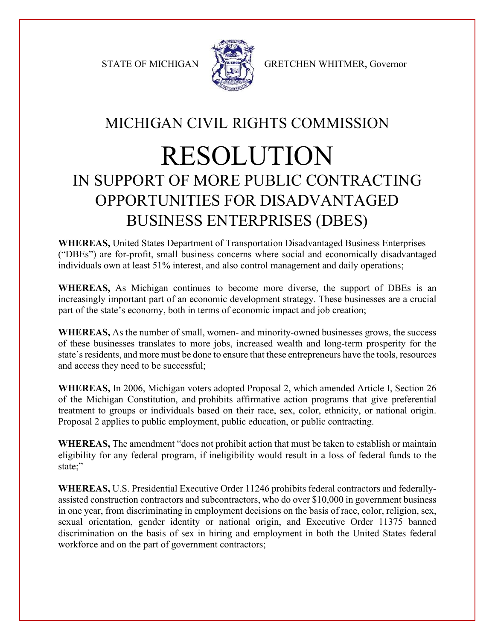

STATE OF MICHIGAN A GRETCHEN WHITMER, Governor

## MICHIGAN CIVIL RIGHTS COMMISSION

## RESOLUTION IN SUPPORT OF MORE PUBLIC CONTRACTING OPPORTUNITIES FOR DISADVANTAGED BUSINESS ENTERPRISES (DBES)

**WHEREAS,** United States Department of Transportation Disadvantaged Business Enterprises ("DBEs") are for-profit, small business concerns where social and economically disadvantaged individuals own at least 51% interest, and also control management and daily operations;

**WHEREAS,** As Michigan continues to become more diverse, the support of DBEs is an increasingly important part of an economic development strategy. These businesses are a crucial part of the state's economy, both in terms of economic impact and job creation;

**WHEREAS,** As the number of small, women- and minority-owned businesses grows, the success of these businesses translates to more jobs, increased wealth and long-term prosperity for the state's residents, and more must be done to ensure that these entrepreneurs have the tools, resources and access they need to be successful;

**WHEREAS,** In 2006, Michigan voters adopted Proposal 2, which amended Article I, Section 26 of the Michigan Constitution, and prohibits affirmative action programs that give preferential treatment to groups or individuals based on their race, sex, color, ethnicity, or national origin. Proposal 2 applies to public employment, public education, or public contracting.

**WHEREAS,** The amendment "does not prohibit action that must be taken to establish or maintain eligibility for any federal program, if ineligibility would result in a loss of federal funds to the state;"

**WHEREAS,** U.S. Presidential Executive Order 11246 prohibits federal contractors and federally‐ assisted construction contractors and subcontractors, who do over \$10,000 in government business in one year, from discriminating in employment decisions on the basis of race, color, religion, sex, sexual orientation, gender identity or national origin, and Executive Order 11375 banned discrimination on the basis of sex in hiring and employment in both the United States federal workforce and on the part of government contractors;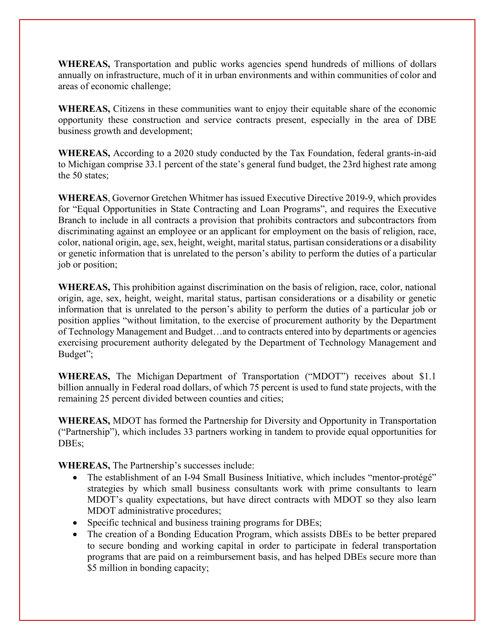**WHEREAS,** Transportation and public works agencies spend hundreds of millions of dollars annually on infrastructure, much of it in urban environments and within communities of color and areas of economic challenge;

**WHEREAS,** Citizens in these communities want to enjoy their equitable share of the economic opportunity these construction and service contracts present, especially in the area of DBE business growth and development;

**WHEREAS,** According to a 2020 study conducted by the Tax Foundation, federal grants-in-aid to Michigan comprise 33.1 percent of the state's general fund budget, the 23rd highest rate among the 50 states;

**WHEREAS**, Governor Gretchen Whitmer has issued Executive Directive 2019-9, which provides for "Equal Opportunities in State Contracting and Loan Programs", and requires the Executive Branch to include in all contracts a provision that prohibits contractors and subcontractors from discriminating against an employee or an applicant for employment on the basis of religion, race, color, national origin, age, sex, height, weight, marital status, partisan considerations or a disability or genetic information that is unrelated to the person's ability to perform the duties of a particular job or position;

**WHEREAS,** This prohibition against discrimination on the basis of religion, race, color, national origin, age, sex, height, weight, marital status, partisan considerations or a disability or genetic information that is unrelated to the person's ability to perform the duties of a particular job or position applies "without limitation, to the exercise of procurement authority by the Department of Technology Management and Budget…and to contracts entered into by departments or agencies exercising procurement authority delegated by the Department of Technology Management and Budget";

**WHEREAS,** The Michigan Department of Transportation ("MDOT") receives about \$1.1 billion annually in Federal road dollars, of which 75 percent is used to fund state projects, with the remaining 25 percent divided between counties and cities;

**WHEREAS,** MDOT has formed the Partnership for Diversity and Opportunity in Transportation ("Partnership"), which includes 33 partners working in tandem to provide equal opportunities for DBEs;

**WHEREAS,** The Partnership's successes include:

- The establishment of an I-94 Small Business Initiative, which includes "mentor-protégé" strategies by which small business consultants work with prime consultants to learn MDOT's quality expectations, but have direct contracts with MDOT so they also learn MDOT administrative procedures;
- Specific technical and business training programs for DBEs;
- The creation of a Bonding Education Program, which assists DBEs to be better prepared to secure bonding and working capital in order to participate in federal transportation programs that are paid on a reimbursement basis, and has helped DBEs secure more than \$5 million in bonding capacity;